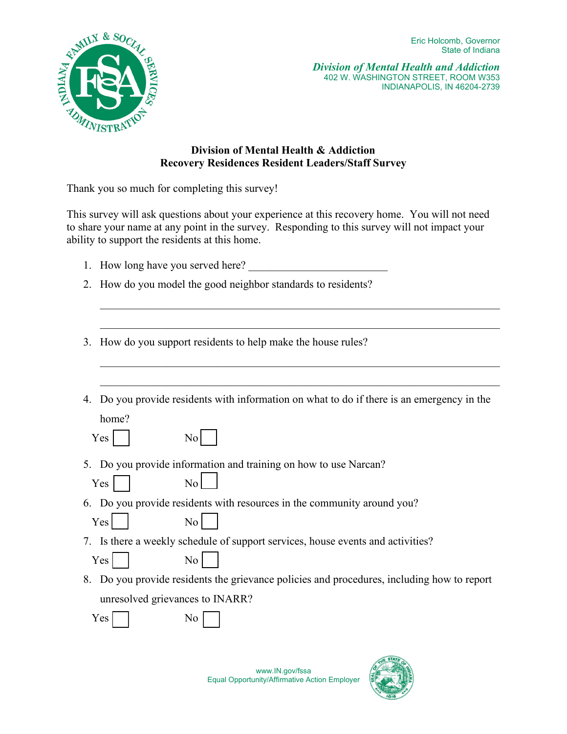

*Division of Mental Health and Addiction*  402 W. WASHINGTON STREET, ROOM W353 INDIANAPOLIS, IN 46204-2739

## **Division of Mental Health & Addiction Recovery Residences Resident Leaders/Staff Survey**

Thank you so much for completing this survey!

This survey will ask questions about your experience at this recovery home. You will not need to share your name at any point in the survey. Responding to this survey will not impact your ability to support the residents at this home.

- 1. How long have you served here?
- 2. How do you model the good neighbor standards to residents?
- 3. How do you support residents to help make the house rules?
- 4. Do you provide residents with information on what to do if there is an emergency in the home?

 $\mathcal{L}_\text{G}$  , and the contribution of the contribution of the contribution of the contribution of the contribution of the contribution of the contribution of the contribution of the contribution of the contribution of t

 $\mathcal{L}_\text{G}$  , and the contribution of the contribution of the contribution of the contribution of the contribution of the contribution of the contribution of the contribution of the contribution of the contribution of t

5. Do you provide information and training on how to use Narcan?

|  |  | No |
|--|--|----|
|--|--|----|

6. Do you provide residents with resources in the community around you?

 $Yes$ 

- Yes No
- 7. Is there a weekly schedule of support services, house events and activities?

| - -<br>es<br>-- | N٥<br>- |
|-----------------|---------|
|-----------------|---------|

8. Do you provide residents the grievance policies and procedures, including how to report unresolved grievances to INARR?

Yes No